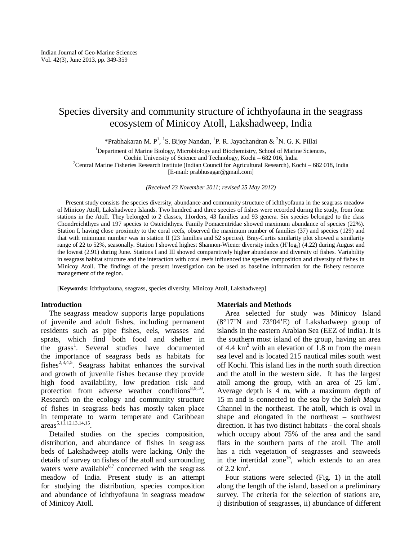# Species diversity and community structure of ichthyofauna in the seagrass ecosystem of Minicoy Atoll, Lakshadweep, India

\*Prabhakaran M. P<sup>1</sup>, <sup>1</sup>S. Bijoy Nandan, <sup>1</sup>P. R. Jayachandran & <sup>2</sup>N. G. K. Pillai

<sup>1</sup>Department of Marine Biology, Microbiology and Biochemistry, School of Marine Sciences,

Cochin University of Science and Technology, Kochi – 682 016, India

<sup>2</sup>Central Marine Fisheries Research Institute (Indian Council for Agricultural Research), Kochi – 682 018, India [E-mail: prabhusagar@gmail.com]

*(Received 23 November 2011; revised 25 May 2012)* 

Present study consists the species diversity, abundance and community structure of ichthyofauna in the seagrass meadow of Minicoy Atoll, Lakshadweep Islands. Two hundred and three species of fishes were recorded during the study, from four stations in the Atoll. They belonged to 2 classes, 11orders, 43 families and 93 genera. Six species belonged to the class Chondreichthyes and 197 species to Osteichthyes. Family Pomacentridae showed maximum abundance of species (22%). Station I, having close proximity to the coral reefs, observed the maximum number of families (37) and species (129) and that with minimum number was in station II (23 families and 52 species). Bray-Curtis similarity plot showed a similarity range of 22 to 52%, seasonally. Station I showed highest Shannon-Wiener diversity index (H'log<sub>2</sub>) (4.22) during August and the lowest (2.91) during June. Stations I and III showed comparatively higher abundance and diversity of fishes. Variability in seagrass habitat structure and the interaction with coral reefs influenced the species composition and diversity of fishes in Minicoy Atoll. The findings of the present investigation can be used as baseline information for the fishery resource management of the region.

[**Keywords:** Ichthyofauna, seagrass, species diversity, Minicoy Atoll, Lakshadweep]

## **Introduction**

The seagrass meadow supports large populations of juvenile and adult fishes, including permanent residents such as pipe fishes, eels, wrasses and sprats, which find both food and shelter in the grass<sup>1</sup>. Several studies have documented the importance of seagrass beds as habitats for fishes<sup>2,5,4,5</sup>. Seagrass habitat enhances the survival and growth of juvenile fishes because they provide high food availability, low predation risk and protection from adverse weather conditions<sup>8,9,10</sup>. Research on the ecology and community structure of fishes in seagrass beds has mostly taken place in temperate to warm temperate and Caribbean  $\arccos^{5,1\overline{1},12,13,14,15}$ .

Detailed studies on the species composition, distribution, and abundance of fishes in seagrass beds of Lakshadweep atolls were lacking. Only the details of survey on fishes of the atoll and surrounding waters were available $6,7$  concerned with the seagrass meadow of India. Present study is an attempt for studying the distribution, species composition and abundance of ichthyofauna in seagrass meadow of Minicoy Atoll.

## **Materials and Methods**

Area selected for study was Minicoy Island (8°17'N and 73°04'E) of Lakshadweep group of islands in the eastern Arabian Sea (EEZ of India). It is the southern most island of the group, having an area of 4.4  $km<sup>2</sup>$  with an elevation of 1.8 m from the mean sea level and is located 215 nautical miles south west off Kochi. This island lies in the north south direction and the atoll in the western side. It has the largest atoll among the group, with an area of  $25 \text{ km}^2$ . Average depth is 4 m, with a maximum depth of 15 m and is connected to the sea by the *Saleh Magu* Channel in the northeast. The atoll, which is oval in shape and elongated in the northeast – southwest direction. It has two distinct habitats - the coral shoals which occupy about 75% of the area and the sand flats in the southern parts of the atoll. The atoll has a rich vegetation of seagrasses and seaweeds in the intertidal zone<sup>16</sup>, which extends to an area of  $2.2 \text{ km}^2$ .

Four stations were selected (Fig. 1) in the atoll along the length of the island, based on a preliminary survey. The criteria for the selection of stations are, i) distribution of seagrasses, ii) abundance of different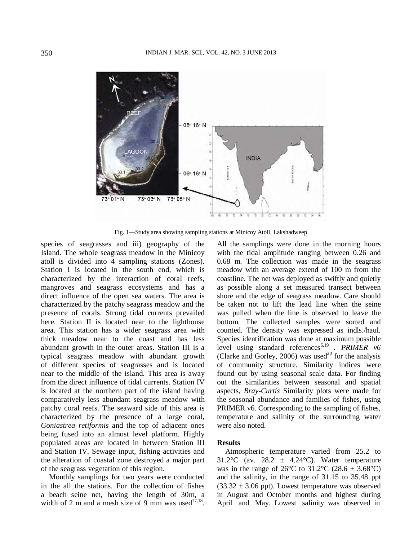

Fig. 1—Study area showing sampling stations at Minicoy Atoll, Lakshadweep

species of seagrasses and iii) geography of the Island. The whole seagrass meadow in the Minicoy atoll is divided into 4 sampling stations (Zones). Station I is located in the south end, which is characterized by the interaction of coral reefs, mangroves and seagrass ecosystems and has a direct influence of the open sea waters. The area is characterized by the patchy seagrass meadow and the presence of corals. Strong tidal currents prevailed here. Station II is located near to the lighthouse area. This station has a wider seagrass area with thick meadow near to the coast and has less abundant growth in the outer areas. Station III is a typical seagrass meadow with abundant growth of different species of seagrasses and is located near to the middle of the island. This area is away from the direct influence of tidal currents. Station IV is located at the northern part of the island having comparatively less abundant seagrass meadow with patchy coral reefs. The seaward side of this area is characterized by the presence of a large coral, *Goniastrea retiformis* and the top of adjacent ones being fused into an almost level platform. Highly populated areas are located in between Station III and Station IV. Sewage input, fishing activities and the alteration of coastal zone destroyed a major part of the seagrass vegetation of this region.

Monthly samplings for two years were conducted in the all the stations. For the collection of fishes a beach seine net, having the length of 30m, a width of 2 m and a mesh size of 9 mm was used<sup>17,18</sup>. All the samplings were done in the morning hours with the tidal amplitude ranging between 0.26 and 0.68 m. The collection was made in the seagrass meadow with an average extend of 100 m from the coastline. The net was deployed as swiftly and quietly as possible along a set measured transect between shore and the edge of seagrass meadow. Care should be taken not to lift the lead line when the seine was pulled when the line is observed to leave the bottom. The collected samples were sorted and counted. The density was expressed as indls./haul. Species identification was done at maximum possible level using standard references<sup>6,19</sup> . PRIMER v6 (Clarke and Gorley, 2006) was used<sup>20</sup> for the analysis of community structure. Similarity indices were found out by using seasonal scale data. For finding out the similarities between seasonal and spatial aspects, *Bray-Curtis* Similarity plots were made for the seasonal abundance and families of fishes, using PRIMER v6. Corresponding to the sampling of fishes, temperature and salinity of the surrounding water were also noted.

## **Results**

Atmospheric temperature varied from 25.2 to 31.2°C (av. 28.2  $\pm$  4.24°C). Water temperature was in the range of  $26^{\circ}$ C to  $31.2^{\circ}$ C ( $28.6 \pm 3.68^{\circ}$ C) and the salinity, in the range of 31.15 to 35.48 ppt  $(33.32 \pm 3.06 \text{ ppt})$ . Lowest temperature was observed in August and October months and highest during April and May. Lowest salinity was observed in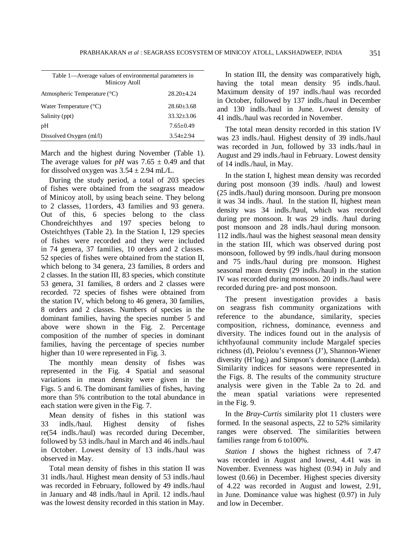| Table 1—Average values of environmental parameters in<br>Minicoy Atoll |                |
|------------------------------------------------------------------------|----------------|
| Atmospheric Temperature (°C)                                           | 28.20+4.24     |
| Water Temperature $(^{\circ}C)$                                        | $28.60 + 3.68$ |
| Salinity (ppt)                                                         | $33.32 + 3.06$ |
| pH                                                                     | $7.65+0.49$    |
| Dissolved Oxygen (ml/l)                                                | $3.54 + 2.94$  |

March and the highest during November (Table 1). The average values for *pH* was  $7.65 \pm 0.49$  and that for dissolved oxygen was  $3.54 \pm 2.94$  mL/L.

During the study period, a total of 203 species of fishes were obtained from the seagrass meadow of Minicoy atoll, by using beach seine. They belong to 2 classes, 11orders, 43 families and 93 genera. Out of this, 6 species belong to the class Chondreichthyes and 197 species belong to Osteichthyes (Table 2). In the Station I, 129 species of fishes were recorded and they were included in 74 genera, 37 families, 10 orders and 2 classes. 52 species of fishes were obtained from the station II, which belong to 34 genera, 23 families, 8 orders and 2 classes. In the station III, 83 species, which constitute 53 genera, 31 families, 8 orders and 2 classes were recorded. 72 species of fishes were obtained from the station IV, which belong to 46 genera, 30 families, 8 orders and 2 classes. Numbers of species in the dominant families, having the species number 5 and above were shown in the Fig. 2. Percentage composition of the number of species in dominant families, having the percentage of species number higher than 10 were represented in Fig. 3.

The monthly mean density of fishes was represented in the Fig. 4 Spatial and seasonal variations in mean density were given in the Figs. 5 and 6. The dominant families of fishes, having more than 5% contribution to the total abundance in each station were given in the Fig. 7.

Mean density of fishes in this stationI was 33 indls./haul. Highest density of fishes re(54 indls./haul) was recorded during December, followed by 53 indls./haul in March and 46 indls./haul in October. Lowest density of 13 indls./haul was observed in May.

Total mean density of fishes in this station II was 31 indls./haul. Highest mean density of 53 indls./haul was recorded in February, followed by 49 indls./haul in January and 48 indls./haul in April. 12 indls./haul was the lowest density recorded in this station in May.

In station III, the density was comparatively high, having the total mean density 95 indls./haul. Maximum density of 197 indls./haul was recorded in October, followed by 137 indls./haul in December and 130 indls./haul in June. Lowest density of 41 indls./haul was recorded in November.

The total mean density recorded in this station IV was 23 indls./haul. Highest density of 39 indls./haul was recorded in Jun, followed by 33 indls./haul in August and 29 indls./haul in February. Lowest density of 14 indls./haul, in May.

In the station I, highest mean density was recorded during post monsoon (39 indls. /haul) and lowest (25 indls./haul) during monsoon. During pre monsoon it was 34 indls. /haul. In the station II, highest mean density was 34 indls./haul, which was recorded during pre monsoon. It was 29 indls. /haul during post monsoon and 28 indls./haul during monsoon. 112 indls./haul was the highest seasonal mean density in the station III, which was observed during post monsoon, followed by 99 indls./haul during monsoon and 75 indls./haul during pre monsoon. Highest seasonal mean density (29 indls./haul) in the station IV was recorded during monsoon. 20 indls./haul were recorded during pre- and post monsoon.

The present investigation provides a basis on seagrass fish community organizations with reference to the abundance, similarity, species composition, richness, dominance, evenness and diversity. The indices found out in the analysis of ichthyofaunal community include Margalef species richness (d), Peiolou's evenness (J'), Shannon-Wiener diversity  $(H'log_2)$  and Simpson's dominance (Lambda). Similarity indices for seasons were represented in the Figs. 8. The results of the community structure analysis were given in the Table 2a to 2d. and the mean spatial variations were represented in the Fig. 9.

In the *Bray-Curtis* similarity plot 11 clusters were formed. In the seasonal aspects, 22 to 52% similarity ranges were observed. The similarities between families range from 6 to100%.

*Station I* shows the highest richness of 7.47 was recorded in August and lowest, 4.41 was in November. Evenness was highest (0.94) in July and lowest (0.66) in December. Highest species diversity of 4.22 was recorded in August and lowest, 2.91, in June. Dominance value was highest (0.97) in July and low in December.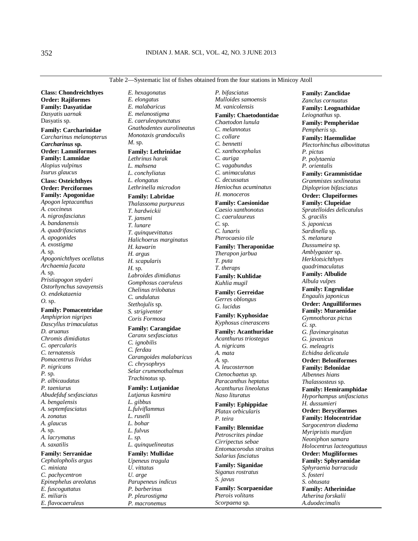**Class: Chondreichthyes Order: Rajiformes Family: Dasyatidae**  *Dasyatis uarnak*  Dasyatis sp.

**Family: Carcharinidae**  *Carcharinus melanopterus Carcharinus* **sp. Order: Lamniformes Family: Lamnidae**  *Alopius vulpinus Isurus glaucus* 

**Class: Osteichthyes Order: Perciformes Family: Apogonidae**  *Apogon leptacanthus A. coccineus A. nigrosfasciatus A. bandanensis A. quadrifasciatus A. apogonides A. exostigma A.* sp. *Apogonichthyes ocellatus Archaemia fucata A.* sp. *Pristiapogon snyderi Ostorhynchus savayensis O. endekataenia O.* sp.

#### **Family: Pomacentridae**

*Amphiprion nigripes Dascyllus trimaculatus D. aruanus Chromis dimidiatus C. opercularis C. ternatensis Pomacentrus lividus P. nigricans P.* sp. *P. albicaudatus P. taeniurus Abudefduf sexfasciatus A. bengalensis A. septemfasciatus A. zonatus A. glaucus A.* sp. *A. lacrymatus A. saxatilis*  **Family: Serranidae**  *Cephalopholis argus* 

*C. miniata C. pachycentron Epinephelus areolatus E. fuscoguttatus E. miliaris E. flavocaeruleus* 

*E. hexagonatus E. elongatus E. malabaricus E. melanostigma E. caeruleopunctatus Gnathodentex aurolineatus Monotaxis grandoculis M.* sp.

#### **Family: Lethrinidae**

*Lethrinus harak L. mahsena L. conchyliatus L. elongatus Lethrinella microdon* 

#### **Family: Labridae**

*Thalassoma purpureus T. hardwickii T. janseni T. lunare T. quinquevittatus Halichoerus marginatus H. kawarin H. argus H. scapularis H.* sp*. Labroides dimidiatus Gomphosus caeruleus Chelinus trilobatus C. undulatus Stethojulis* sp. *S. strigiventer Coris Formosa* 

#### **Family: Carangidae**

*Caranx sexfasciatus C. ignobilis C. ferdau Carangoides malabaricus C. chrysophrys Selar crumenothalmus Trachinotus* sp.

### **Family: Lutjanidae**  *Lutjanus kasmira L. gibbus*

*L.fulviflammus L. ruselli L. bohar L. fulvus L. sp. L. quinquelineatus*  **Family: Mullidae**  *Upeneus tragula U. vittatus* 

*U. arge Parupeneus indicus P. barberinus P. pleurostigma P. macronemus* 

*P. bifasciatus Mulloides samoensis M. vanicolensis*  **Family: Chaetodontidae** *Chaetodon lunula C. melannotus C. collare C. bennetti C. xanthocephalus C. auriga C. vagabundus C. unimaculatus C. decussatus Heniochus acuminatus H. monoceros* 

## **Family: Caesionidae**

*Caesio xanthonotus C. caerulaureus C.* sp. *C. lunaris Pterocaesio tile* 

## **Family: Theraponidae**

*Therapon jarbua T. puta T. theraps* 

**Family: Kuhlidae**  *Kuhlia mugil* 

**Family: Gerreidae**  *Gerres oblongus G. lucidus* 

**Family: Kyphosidae**  *Kyphosus cinerascens* 

## **Family: Acanthuridae**  *Acanthurus triostegus A. nigricans A. mata A.* sp. *A. leucosternon Ctenochaetus sp. Paracanthus heptatus Acanthurus lineolatus Naso lituratus*

**Family: Ephippidae**  *Platax orbicularis P. teira* 

# **Family: Blennidae**

*Petroscrites pindae Cirripectus sebae Entomacorodus straitus Salarius fasciatus* 

**Family: Siganidae**  *Siganus rostratus S. javus*  **Family: Scorpaenidae**  *Pterois volitans Scorpaena* sp*.* 

*Zanclus cornuatus*  **Family: Leognathidae**  *Leiognathus* sp. **Family: Pempheridae**  *Pempheris* sp. **Family: Haemulidae**  *Plectorhinchus albovittatus P. pictus P. polytaenia P. orientalis*  **Family: Grammistidae**  *Grammistes sexlineatus Diploprion bifasciatus*  **Order: Clupeiformes Family: Clupeidae**  *Spratelloides delicatulus S. gracilis S. japonicus Sardinella* sp. *S. melanura Dussumeira* sp. *Amblygaster* sp. *Herklotsichthyes quadrimaculatus*  **Family: Albulide**  *Albula vulpes*  **Family: Engrulidae**  *Engaulis japonicus*  **Order: Anguilliformes Family: Muraenidae**  *Gymnothorax pictus G. sp. G. flavimarginatus G. javanicus G. meleagris Echidna delicatula*  **Order: Beloniformes Family: Belonidae**  *Albennes hians Thalassosteus* sp. **Family: Hemiramphidae**  *Hyporhampus unifasciatus H. dussumieri*  **Order: Beryciformes Family: Holocentridae**  *Sargocentron diadema Myripristis murdjan Neoniphon samara Holocentrus lacteoguttaus*  **Order: Mugiliformes Family: Sphyraenidae**  *Sphyraenia barracuda S. fosteri S. obtusata*  **Family: Atherinidae**  *Atherina forskalii A.duodecimalis* 

**Family: Zanclidae** 

#### Table 2—Systematic list of fishes obtained from the four stations in Minicoy Atoll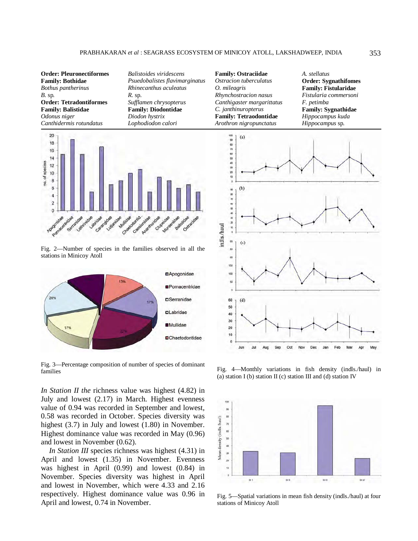**Order: Pleuronectiformes Family: Bothidae**  *Bothus pantherinus B.* sp*.*  **Order: Tetradontiformes Family: Balistidae**  *Odonus niger Canthidermis rotundatus* 

 $20$ 18 16 14 no. of species  $12$ 10 8  $\overline{6}$  $\overline{4}$  $\overline{2}$  $\Omega$ Jae <sub>adrida</sub> Catamgida **Multips** Clupeid Lutionid

*Balistoides viridescens Psuedobalistes flavimarginatus Rhinecanthus aculeatus* 

*Sufflamen chrysopterus*  **Family: Diodontidae**  *Diodon hystrix Lophodiodon calori* 

*R.* sp.

Fig. 2—Number of species in the families observed in all the stations in Minicoy Atoll



Fig. 3—Percentage composition of number of species of dominant families

*In Station II the* richness value was highest (4.82) in July and lowest (2.17) in March. Highest evenness value of 0.94 was recorded in September and lowest, 0.58 was recorded in October. Species diversity was highest (3.7) in July and lowest (1.80) in November. Highest dominance value was recorded in May (0.96) and lowest in November (0.62).

*In Station III* species richness was highest (4.31) in April and lowest (1.35) in November. Evenness was highest in April (0.99) and lowest (0.84) in November. Species diversity was highest in April and lowest in November, which were 4.33 and 2.16 respectively. Highest dominance value was 0.96 in April and lowest, 0.74 in November.

**Family: Ostraciidae**  *Ostracion tuberculatus O. mileagris Rhynchostracion nasus Canthigaster margarittatus C. janthinuropterus*  **Family: Tetraodontidae**  *Arothron nigropunctatus* 

*A. stellatus*  **Order: Sygnathifomes Family: Fistularidae**  *Fistularia commersoni F. petimba*  **Family: Sygnathidae**  *Hippocampus kuda Hippocampus* sp*.*



Fig. 4—Monthly variations in fish density (indls./haul) in (a) station I (b) station II (c) station III and (d) station IV



Fig. 5—Spatial variations in mean fish density (indls./haul) at four stations of Minicoy Atoll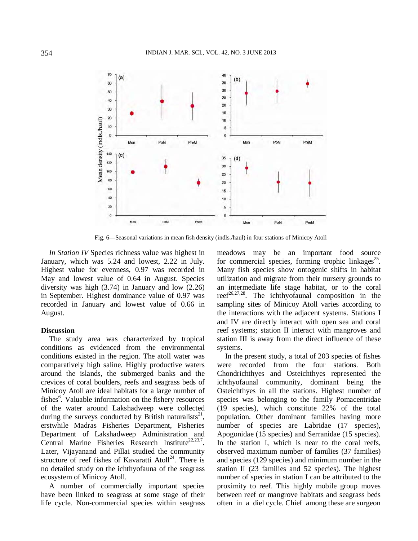

Fig. 6—Seasonal variations in mean fish density (indls./haul) in four stations of Minicoy Atoll

*In Station IV* Species richness value was highest in January, which was 5.24 and lowest, 2.22 in July. Highest value for evenness, 0.97 was recorded in May and lowest value of 0.64 in August. Species diversity was high (3.74) in January and low (2.26) in September. Highest dominance value of 0.97 was recorded in January and lowest value of 0.66 in August.

# **Discussion**

The study area was characterized by tropical conditions as evidenced from the environmental conditions existed in the region. The atoll water was comparatively high saline. Highly productive waters around the islands, the submerged banks and the crevices of coral boulders, reefs and seagrass beds of Minicoy Atoll are ideal habitats for a large number of fishes<sup>6</sup>. Valuable information on the fishery resources of the water around Lakshadweep were collected during the surveys conducted by British naturalists<sup>21</sup>, erstwhile Madras Fisheries Department, Fisheries Department of Lakshadweep Administration and Central Marine Fisheries Research Institute<sup>22,23,7</sup>. Later, Vijayanand and Pillai studied the community structure of reef fishes of Kavaratti Atoll<sup>24</sup>. There is no detailed study on the ichthyofauna of the seagrass ecosystem of Minicoy Atoll.

A number of commercially important species have been linked to seagrass at some stage of their life cycle. Non-commercial species within seagrass

meadows may be an important food source for commercial species, forming trophic linkages<sup>25</sup>. Many fish species show ontogenic shifts in habitat utilization and migrate from their nursery grounds to an intermediate life stage habitat, or to the coral reef $26,27,28$ . The ichthyofaunal composition in the sampling sites of Minicoy Atoll varies according to the interactions with the adjacent systems. Stations I and IV are directly interact with open sea and coral reef systems; station II interact with mangroves and station III is away from the direct influence of these systems.

In the present study, a total of 203 species of fishes were recorded from the four stations. Both Chondrichthyes and Osteichthyes represented the ichthyofaunal community, dominant being the Osteichthyes in all the stations. Highest number of species was belonging to the family Pomacentridae (19 species), which constitute 22% of the total population. Other dominant families having more number of species are Labridae (17 species), Apogonidae (15 species) and Serranidae (15 species). In the station I, which is near to the coral reefs, observed maximum number of families (37 families) and species (129 species) and minimum number in the station II (23 families and 52 species). The highest number of species in station I can be attributed to the proximity to reef. This highly mobile group moves between reef or mangrove habitats and seagrass beds often in a diel cycle. Chief among these are surgeon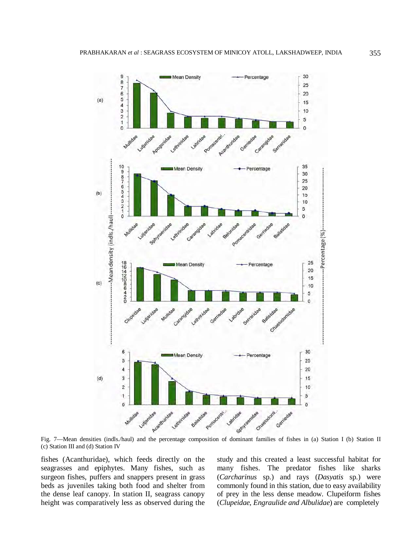

Fig. 7—Mean densities (indls./haul) and the percentage composition of dominant families of fishes in (a) Station I (b) Station II (c) Station III and (d) Station IV

fishes (Acanthuridae), which feeds directly on the seagrasses and epiphytes. Many fishes, such as surgeon fishes, puffers and snappers present in grass beds as juveniles taking both food and shelter from the dense leaf canopy. In station II, seagrass canopy height was comparatively less as observed during the study and this created a least successful habitat for many fishes. The predator fishes like sharks (*Carcharinus* sp.) and rays (*Dasyatis* sp.) were commonly found in this station, due to easy availability of prey in the less dense meadow. Clupeiform fishes (*Clupeidae, Engraulide and Albulidae*) are completely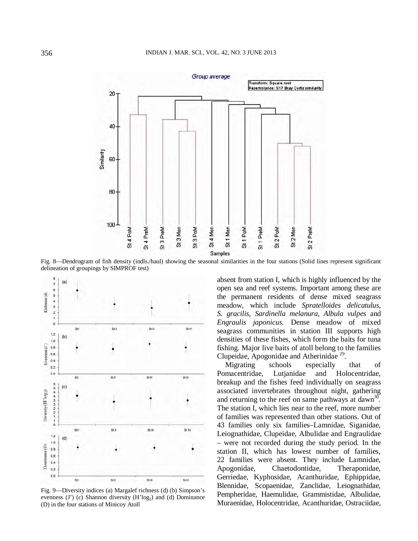

Fig. 8—Dendrogram of fish density (indls./haul) showing the seasonal similarities in the four stations (Solid lines represent significant delineation of groupings by SIMPROF test)



Fig. 9—Diversity indices (a) Margalef richness (d) (b) Simpson's evenness (J') (c) Shannon diversity  $(H'log_2)$  and (d) Dominance (D) in the four stations of Minicoy Atoll

absent from station I, which is highly influenced by the open sea and reef systems. Important among these are the permanent residents of dense mixed seagrass meadow, which include *Spratelloides delicatulus, S. gracilis, Sardinella melanura, Albula vulpes* and *Engraulis japonicus.* Dense meadow of mixed seagrass communities in station III supports high densities of these fishes, which form the baits for tuna fishing. Major live baits of atoll belong to the families Clupeidae, Apogonidae and Atherinidae<sup>29</sup>.

Migrating schools especially that of Pomacentridae, Lutjanidae and Holocentridae, breakup and the fishes feed individually on seagrass associated invertebrates throughout night, gathering and returning to the reef on same pathways at dawn<sup>30</sup>. The station I, which lies near to the reef, more number of families was represented than other stations. Out of 43 families only six families–Lamnidae, Siganidae, Leiognathidae, Clupeidae, Albulidae and Engraulidae – were not recorded during the study period. In the station II, which has lowest number of families, 22 families were absent. They include Lamnidae, Apogonidae, Chaetodontidae, Theraponidae, Gerriedae, Kyphosidae, Acanthuridae, Ephippidae, Blennidae, Scopaenidae, Zanclidae, Leiognathidae, Pempheridae, Haemulidae, Grammistidae, Albulidae, Muraenidae, Holocentridae, Acanthuridae, Ostraciidae,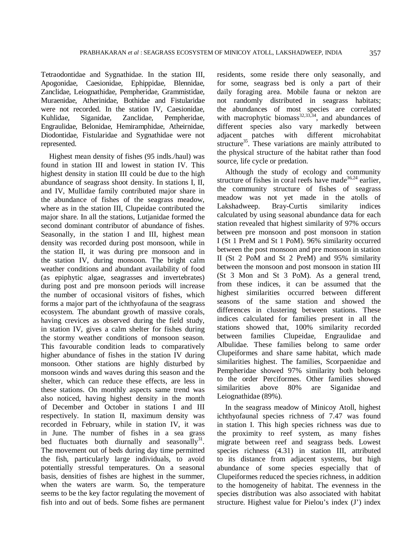Tetraodontidae and Sygnathidae. In the station III, Apogonidae, Caesionidae, Ephippidae, Blennidae, Zanclidae, Leiognathidae, Pempheridae, Grammistidae, Muraenidae, Atherinidae, Bothidae and Fistularidae were not recorded. In the station IV, Caesionidae, Kuhlidae, Siganidae, Zanclidae, Pempheridae, Engraulidae, Belonidae, Hemiramphidae, Atheirnidae, Diodontidae, Fistularidae and Sygnathidae were not represented.

Highest mean density of fishes (95 indls./haul) was found in station III and lowest in station IV. This highest density in station III could be due to the high abundance of seagrass shoot density. In stations I, II, and IV, Mullidae family contributed major share in the abundance of fishes of the seagrass meadow, where as in the station III, Clupeidae contributed the major share. In all the stations, Lutjanidae formed the second dominant contributor of abundance of fishes. Seasonally, in the station I and III, highest mean density was recorded during post monsoon, while in the station II, it was during pre monsoon and in the station IV, during monsoon. The bright calm weather conditions and abundant availability of food (as epiphytic algae, seagrasses and invertebrates) during post and pre monsoon periods will increase the number of occasional visitors of fishes, which forms a major part of the ichthyofauna of the seagrass ecosystem. The abundant growth of massive corals, having crevices as observed during the field study, in station IV, gives a calm shelter for fishes during the stormy weather conditions of monsoon season. This favourable condition leads to comparatively higher abundance of fishes in the station IV during monsoon. Other stations are highly disturbed by monsoon winds and waves during this season and the shelter, which can reduce these effects, are less in these stations. On monthly aspects same trend was also noticed, having highest density in the month of December and October in stations I and III respectively. In station II, maximum density was recorded in February, while in station IV, it was in June. The number of fishes in a sea grass bed fluctuates both diurnally and seasonally $31$ . The movement out of beds during day time permitted the fish, particularly large individuals, to avoid potentially stressful temperatures. On a seasonal basis, densities of fishes are highest in the summer, when the waters are warm. So, the temperature seems to be the key factor regulating the movement of fish into and out of beds. Some fishes are permanent

residents, some reside there only seasonally, and for some, seagrass bed is only a part of their daily foraging area. Mobile fauna or nekton are not randomly distributed in seagrass habitats; the abundances of most species are correlated the abundances of  $\mu$   $\sim$   $\mu$   $\sim$   $\mu$   $\sim$   $\mu$  abundances of with macrophytic biomass<sup>32,33,34</sup>, and abundances of different species also vary markedly between adjacent patches with different microhabitat structure<sup>35</sup>. These variations are mainly attributed to the physical structure of the habitat rather than food source, life cycle or predation.

Although the study of ecology and community structure of fishes in coral reefs have made<sup>36,24</sup> earlier, the community structure of fishes of seagrass meadow was not yet made in the atolls of Lakshadweep. Bray-Curtis similarity indices calculated by using seasonal abundance data for each station revealed that highest similarity of 97% occurs between pre monsoon and post monsoon in station I (St 1 PreM and St 1 PoM). 96% similarity occurred between the post monsoon and pre monsoon in station II (St 2 PoM and St 2 PreM) and 95% similarity between the monsoon and post monsoon in station III (St 3 Mon and St 3 PoM). As a general trend, from these indices, it can be assumed that the highest similarities occurred between different seasons of the same station and showed the differences in clustering between stations. These indices calculated for families present in all the stations showed that, 100% similarity recorded between families Clupeidae, Engraulidae and Albulidae. These families belong to same order Clupeiformes and share same habitat, which made similarities highest. The families, Scorpaenidae and Pempheridae showed 97% similarity both belongs to the order Perciformes. Other families showed similarities above 80% are Siganidae and Leiognathidae (89%).

In the seagrass meadow of Minicoy Atoll, highest ichthyofaunal species richness of 7.47 was found in station I. This high species richness was due to the proximity to reef system, as many fishes migrate between reef and seagrass beds. Lowest species richness (4.31) in station III, attributed to its distance from adjacent systems, but high abundance of some species especially that of Clupeiformes reduced the species richness, in addition to the homogeneity of habitat. The evenness in the species distribution was also associated with habitat structure. Highest value for Pielou's index (J') index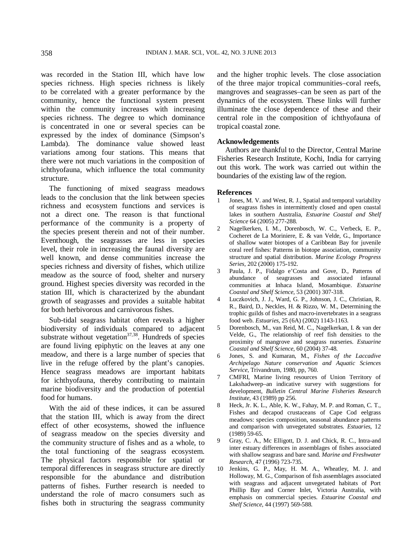was recorded in the Station III, which have low species richness. High species richness is likely to be correlated with a greater performance by the community, hence the functional system present within the community increases with increasing species richness. The degree to which dominance is concentrated in one or several species can be expressed by the index of dominance (Simpson's Lambda). The dominance value showed least variations among four stations. This means that there were not much variations in the composition of ichthyofauna, which influence the total community structure.

The functioning of mixed seagrass meadows leads to the conclusion that the link between species richness and ecosystem functions and services is not a direct one. The reason is that functional performance of the community is a property of the species present therein and not of their number. Eventhough, the seagrasses are less in species level, their role in increasing the faunal diversity are well known, and dense communities increase the species richness and diversity of fishes, which utilize meadow as the source of food, shelter and nursery ground. Highest species diversity was recorded in the station III, which is characterized by the abundant growth of seagrasses and provides a suitable habitat for both herbivorous and carnivorous fishes.

Sub-tidal seagrass habitat often reveals a higher biodiversity of individuals compared to adjacent substrate without vegetation $37,38$ . Hundreds of species are found living epiphytic on the leaves at any one meadow, and there is a large number of species that live in the refuge offered by the plant's canopies. Hence seagrass meadows are important habitats for ichthyofauna, thereby contributing to maintain marine biodiversity and the production of potential food for humans.

With the aid of these indices, it can be assured that the station III, which is away from the direct effect of other ecosystems, showed the influence of seagrass meadow on the species diversity and the community structure of fishes and as a whole, to the total functioning of the seagrass ecosystem. The physical factors responsible for spatial or temporal differences in seagrass structure are directly responsible for the abundance and distribution patterns of fishes. Further research is needed to understand the role of macro consumers such as fishes both in structuring the seagrass community

and the higher trophic levels. The close association of the three major tropical communities–coral reefs, mangroves and seagrasses–can be seen as part of the dynamics of the ecosystem. These links will further illuminate the close dependence of these and their central role in the composition of ichthyofauna of tropical coastal zone.

#### **Acknowledgements**

Authors are thankful to the Director, Central Marine Fisheries Research Institute, Kochi, India for carrying out this work. The work was carried out within the boundaries of the existing law of the region.

#### **References**

- 1 Jones, M. V. and West, R. J., Spatial and temporal variability of seagrass fishes in intermittently closed and open coastal lakes in southern Australia, *Estuarine Coastal and Shelf Science* 64 (2005) 277-288.
- 2 Nagelkerken, I. M., Dorenbosch, W. C., Verbeck, E. P., Cocheret de La Moriniere, E. & van Velde, G., Importance of shallow water biotopes of a Caribbean Bay for juvenile coral reef fishes: Patterns in biotope association, community structure and spatial distribution. *Marine Ecology Progress Series,* 202 (2000) 175-192.
- 3 Paula, J. P., Fidalgo e'Costa and Gove, D., Patterns of abundance of seagrasses and associated infaunal communities at Inhaca Island, Mosambique. *Estuarine Coastal and Shelf Science,* 53 (2001) 307-318.
- 4 Luczkovich, J. J., Ward, G. P., Johnson, J. C., Christian, R. R., Baird, D., Neckles, H. & Rizzo, W. M., Determining the trophic guilds of fishes and macro-invertebrates in a seagrass food web. *Estuaries,* 25 (6A) (2002) 1143-1163.
- 5 Dorenbosch, M., van Reid, M. C., Nagelkerkan, I. & van der Velde, G., The relationship of reef fish densities to the proximity of mangrove and seagrass nurseries. *Estuarine Coastal and Shelf Science*, 60 (2004) 37-48.
- 6 Jones, S. and Kumaran, M., *Fishes of the Laccadive Archipelago Nature conservation and Aquatic Sciences Service*, Trivandrum, 1980, pp, 760.
- 7 CMFRI, Marine living resources of Union Territory of Lakshadweep–an indicative survey with suggestions for development, *Bulletin Central Marine Fisheries Research Institute,* 43 (1989) pp 256.
- 8 Heck, Jr. K. L., Able, K. W., Fahay, M. P. and Roman, C. T., Fishes and decapod crustaceans of Cape Cod eelgrass meadows: species composition, seasonal abundance patterns and comparison with unvegetated substrates*. Estuaries*, 12 (1989) 59-65.
- 9 Gray, C. A., Mc Elligott, D. J. and Chick, R. C., Intra-and inter estuary differences in assemblages of fishes associated with shallow seagrass and bare sand. *Marine and Freshwater Research*, 47 (1996) 723-735.
- 10 Jenkins, G. P., May, H. M. A., Wheatley, M. J. and Holloway, M. G., Comparison of fish assemblages associated with seagrass and adjacent unvegetated habitats of Port Phillip Bay and Corner Inlet, Victoria Australia, with emphasis on commercial species. *Estuarine Coastal and Shelf Science*, 44 (1997) 569-588.